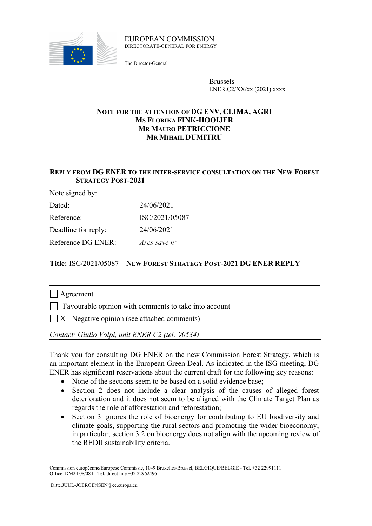

#### EUROPEAN COMMISSION DIRECTORATE-GENERAL FOR ENERGY

The Director-General

Brussels ENER.C2/XX/xx (2021) xxxx

# **NOTE FOR THE ATTENTION OF DG ENV, CLIMA, AGRI MS FLORIKA FINK-HOOIJER MR MAURO PETRICCIONE MR MIHAIL DUMITRU**

# **REPLY FROM DG ENER TO THE INTER-SERVICE CONSULTATION ON THE NEW FOREST STRATEGY POST-2021**

Note signed by:

| Dated:              | 24/06/2021     |
|---------------------|----------------|
| Reference:          | ISC/2021/05087 |
| Deadline for reply: | 24/06/2021     |
| Reference DG ENER:  | Ares save n°   |

# **Title:** ISC/2021/05087 **– NEW FOREST STRATEGY POST-2021 DG ENER REPLY**

# | Agreement

 $\Box$  Favourable opinion with comments to take into account

 $\Box X$  Negative opinion (see attached comments)

*Contact: Giulio Volpi, unit ENER C2 (tel: 90534)*

Thank you for consulting DG ENER on the new Commission Forest Strategy, which is an important element in the European Green Deal. As indicated in the ISG meeting, DG ENER has significant reservations about the current draft for the following key reasons:

- None of the sections seem to be based on a solid evidence base;
- Section 2 does not include a clear analysis of the causes of alleged forest deterioration and it does not seem to be aligned with the Climate Target Plan as regards the role of afforestation and reforestation;
- Section 3 ignores the role of bioenergy for contributing to EU biodiversity and climate goals, supporting the rural sectors and promoting the wider bioeconomy; in particular, section 3.2 on bioenergy does not align with the upcoming review of the REDII sustainability criteria.

Commission européenne/Europese Commissie, 1049 Bruxelles/Brussel, BELGIQUE/BELGIË - Tel. +32 22991111 Office: DM24 08/084 - Tel. direct line +32 22962496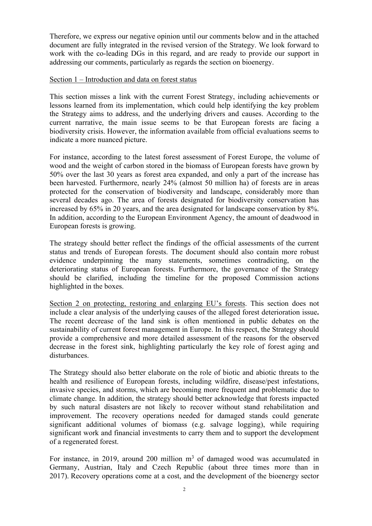Therefore, we express our negative opinion until our comments below and in the attached document are fully integrated in the revised version of the Strategy. We look forward to work with the co-leading DGs in this regard, and are ready to provide our support in addressing our comments, particularly as regards the section on bioenergy.

### Section 1 – Introduction and data on forest status

This section misses a link with the current Forest Strategy, including achievements or lessons learned from its implementation, which could help identifying the key problem the Strategy aims to address, and the underlying drivers and causes. According to the current narrative, the main issue seems to be that European forests are facing a biodiversity crisis. However, the information available from official evaluations seems to indicate a more nuanced picture.

For instance, according to the latest forest assessment of Forest Europe, the volume of wood and the weight of carbon stored in the biomass of European forests have grown by 50% over the last 30 years as forest area expanded, and only a part of the increase has been harvested. Furthermore, nearly 24% (almost 50 million ha) of forests are in areas protected for the conservation of biodiversity and landscape, considerably more than several decades ago. The area of forests designated for biodiversity conservation has increased by 65% in 20 years, and the area designated for landscape conservation by 8%. In addition, according to the European Environment Agency, the amount of deadwood in European forests is growing.

The strategy should better reflect the findings of the official assessments of the current status and trends of European forests. The document should also contain more robust evidence underpinning the many statements, sometimes contradicting, on the deteriorating status of European forests. Furthermore, the governance of the Strategy should be clarified, including the timeline for the proposed Commission actions highlighted in the boxes.

Section 2 on protecting, restoring and enlarging EU's forests. This section does not include a clear analysis of the underlying causes of the alleged forest deterioration issue**.**  The recent decrease of the land sink is often mentioned in public debates on the sustainability of current forest management in Europe. In this respect, the Strategy should provide a comprehensive and more detailed assessment of the reasons for the observed decrease in the forest sink, highlighting particularly the key role of forest aging and disturbances.

The Strategy should also better elaborate on the role of biotic and abiotic threats to the health and resilience of European forests, including wildfire, disease/pest infestations, invasive species, and storms, which are becoming more frequent and problematic due to climate change. In addition, the strategy should better acknowledge that forests impacted by such natural disasters are not likely to recover without stand rehabilitation and improvement. The recovery operations needed for damaged stands could generate significant additional volumes of biomass (e.g. salvage logging), while requiring significant work and financial investments to carry them and to support the development of a regenerated forest.

For instance, in 2019, around 200 million  $m<sup>3</sup>$  of damaged wood was accumulated in Germany, Austrian, Italy and Czech Republic (about three times more than in 2017). Recovery operations come at a cost, and the development of the bioenergy sector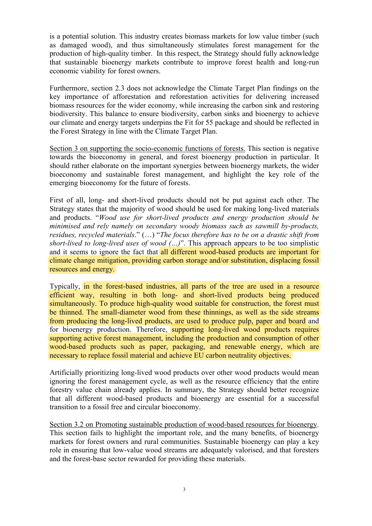is a potential solution. This industry creates biomass markets for low value timber (such as damaged wood), and thus simultaneously stimulates forest management for the production of high-quality timber. In this respect, the Strategy should fully acknowledge that sustainable bioenergy markets contribute to improve forest health and long-run economic viability for forest owners.

Furthermore, section 2.3 does not acknowledge the Climate Target Plan findings on the key importance of afforestation and reforestation activities for delivering increased biomass resources for the wider economy, while increasing the carbon sink and restoring biodiversity. This balance to ensure biodiversity, carbon sinks and bioenergy to achieve our climate and energy targets underpins the Fit for 55 package and should be reflected in the Forest Strategy in line with the Climate Target Plan.

Section 3 on supporting the socio-economic functions of forests. This section is negative towards the bioeconomy in general, and forest bioenergy production in particular. It should rather elaborate on the important synergies between bioenergy markets, the wider bioeconomy and sustainable forest management, and highlight the key role of the emerging bioeconomy for the future of forests.

First of all, long- and short-lived products should not be put against each other. The Strategy states that the majority of wood should be used for making long-lived materials and products. "*Wood use for short-lived products and energy production should be minimised and rely namely on secondary woody biomass such as sawmill by-products, residues, recycled materials*." (…) "*The focus therefore has to be on a drastic shift from short-lived to long-lived uses of wood (…)*". This approach appears to be too simplistic and it seems to ignore the fact that all different wood-based products are important for climate change mitigation, providing carbon storage and/or substitution, displacing fossil resources and energy.

Typically, in the forest-based industries, all parts of the tree are used in a resource efficient way, resulting in both long- and short-lived products being produced simultaneously. To produce high-quality wood suitable for construction, the forest must be thinned. The small-diameter wood from these thinnings, as well as the side streams from producing the long-lived products, are used to produce pulp, paper and board and for bioenergy production. Therefore, supporting long-lived wood products requires supporting active forest management, including the production and consumption of other wood-based products such as paper, packaging, and renewable energy, which are necessary to replace fossil material and achieve EU carbon neutrality objectives.

Artificially prioritizing long-lived wood products over other wood products would mean ignoring the forest management cycle, as well as the resource efficiency that the entire forestry value chain already applies. In summary, the Strategy should better recognize that all different wood-based products and bioenergy are essential for a successful transition to a fossil free and circular bioeconomy.

Section 3.2 on Promoting sustainable production of wood-based resources for bioenergy. This section fails to highlight the important role, and the many benefits, of bioenergy markets for forest owners and rural communities. Sustainable bioenergy can play a key role in ensuring that low-value wood streams are adequately valorised, and that foresters and the forest-base sector rewarded for providing these materials.